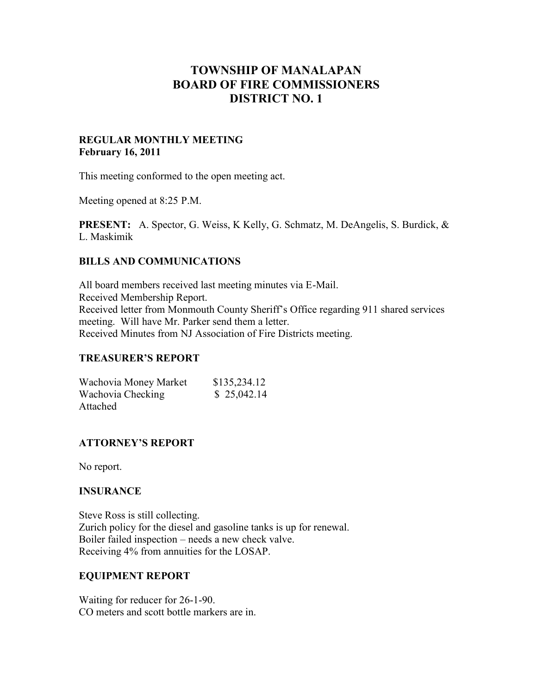# **TOWNSHIP OF MANALAPAN BOARD OF FIRE COMMISSIONERS DISTRICT NO. 1**

## **REGULAR MONTHLY MEETING February 16, 2011**

This meeting conformed to the open meeting act.

Meeting opened at 8:25 P.M.

**PRESENT:** A. Spector, G. Weiss, K Kelly, G. Schmatz, M. DeAngelis, S. Burdick, & L. Maskimik

## **BILLS AND COMMUNICATIONS**

All board members received last meeting minutes via E-Mail. Received Membership Report. Received letter from Monmouth County Sheriff's Office regarding 911 shared services meeting. Will have Mr. Parker send them a letter. Received Minutes from NJ Association of Fire Districts meeting.

#### **TREASURER'S REPORT**

| Wachovia Money Market | \$135,234.12 |
|-----------------------|--------------|
| Wachovia Checking     | \$25,042.14  |
| Attached              |              |

# **ATTORNEY'S REPORT**

No report.

#### **INSURANCE**

Steve Ross is still collecting. Zurich policy for the diesel and gasoline tanks is up for renewal. Boiler failed inspection – needs a new check valve. Receiving 4% from annuities for the LOSAP.

#### **EQUIPMENT REPORT**

Waiting for reducer for 26-1-90. CO meters and scott bottle markers are in.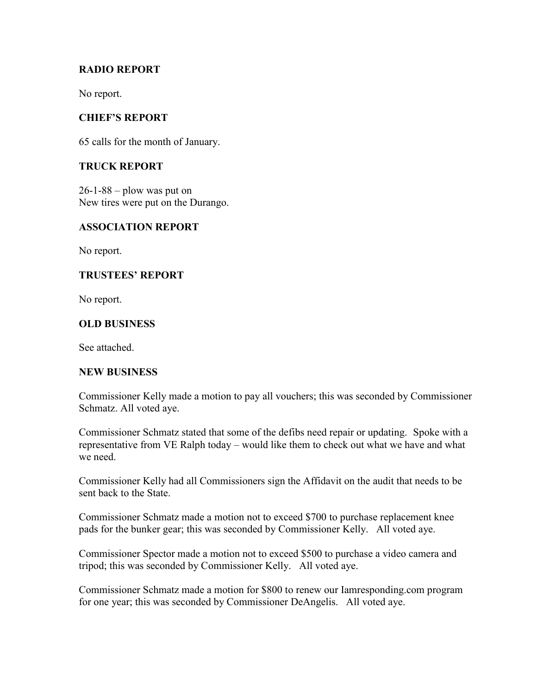# **RADIO REPORT**

No report.

# **CHIEF'S REPORT**

65 calls for the month of January.

# **TRUCK REPORT**

 $26-1-88$  – plow was put on New tires were put on the Durango.

## **ASSOCIATION REPORT**

No report.

## **TRUSTEES' REPORT**

No report.

## **OLD BUSINESS**

See attached.

#### **NEW BUSINESS**

Commissioner Kelly made a motion to pay all vouchers; this was seconded by Commissioner Schmatz. All voted aye.

Commissioner Schmatz stated that some of the defibs need repair or updating. Spoke with a representative from VE Ralph today – would like them to check out what we have and what we need.

Commissioner Kelly had all Commissioners sign the Affidavit on the audit that needs to be sent back to the State.

Commissioner Schmatz made a motion not to exceed \$700 to purchase replacement knee pads for the bunker gear; this was seconded by Commissioner Kelly. All voted aye.

Commissioner Spector made a motion not to exceed \$500 to purchase a video camera and tripod; this was seconded by Commissioner Kelly. All voted aye.

Commissioner Schmatz made a motion for \$800 to renew our Iamresponding.com program for one year; this was seconded by Commissioner DeAngelis. All voted aye.